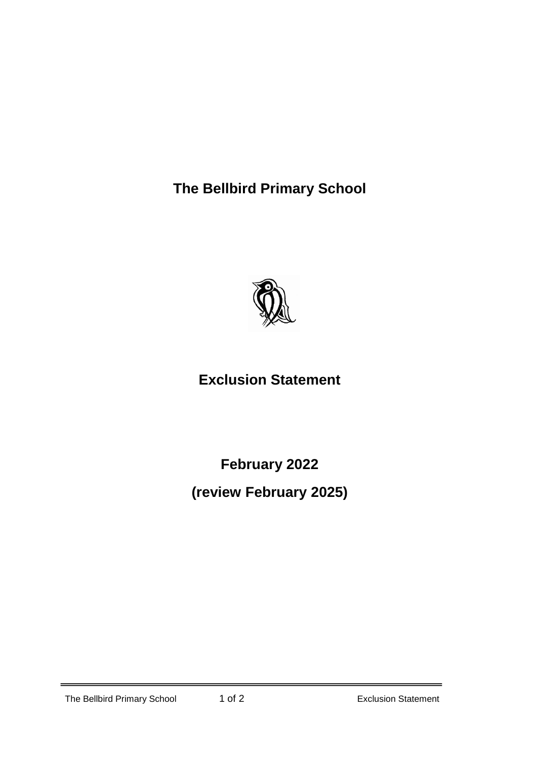**The Bellbird Primary School**



## **Exclusion Statement**

**February 2022**

**(review February 2025)**